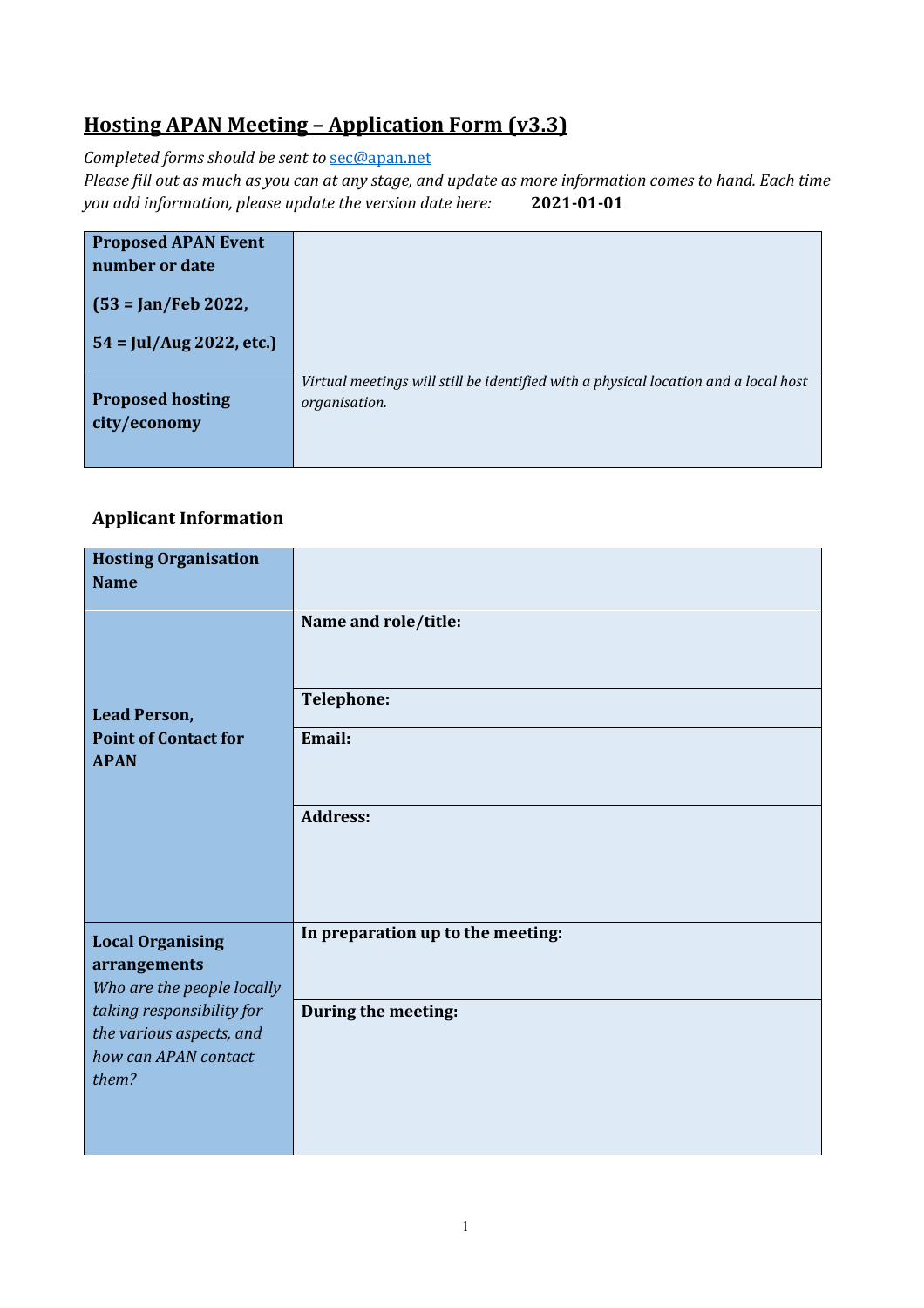## **Hosting APAN Meeting – Application Form (v3.3)**

*Completed forms should be sent to* [sec@apan.net](mailto:sec@apan.net)

*Please fill out as much as you can at any stage, and update as more information comes to hand. Each time you add information, please update the version date here:* **2021-01-01**

| <b>Proposed APAN Event</b><br>number or date            |                                                                                                      |
|---------------------------------------------------------|------------------------------------------------------------------------------------------------------|
| $(53 = Jan/Feb 2022, )$                                 |                                                                                                      |
| $54 = \frac{\text{Jul}}{\text{Aug }2022, \text{ etc.}}$ |                                                                                                      |
| <b>Proposed hosting</b><br>city/economy                 | Virtual meetings will still be identified with a physical location and a local host<br>organisation. |

#### **Applicant Information**

| <b>Hosting Organisation</b>                                                            |                                   |
|----------------------------------------------------------------------------------------|-----------------------------------|
| <b>Name</b>                                                                            |                                   |
|                                                                                        | Name and role/title:              |
| <b>Lead Person,</b>                                                                    | <b>Telephone:</b>                 |
| <b>Point of Contact for</b><br><b>APAN</b>                                             | Email:                            |
|                                                                                        | <b>Address:</b>                   |
| <b>Local Organising</b><br>arrangements<br>Who are the people locally                  | In preparation up to the meeting: |
| taking responsibility for<br>the various aspects, and<br>how can APAN contact<br>them? | During the meeting:               |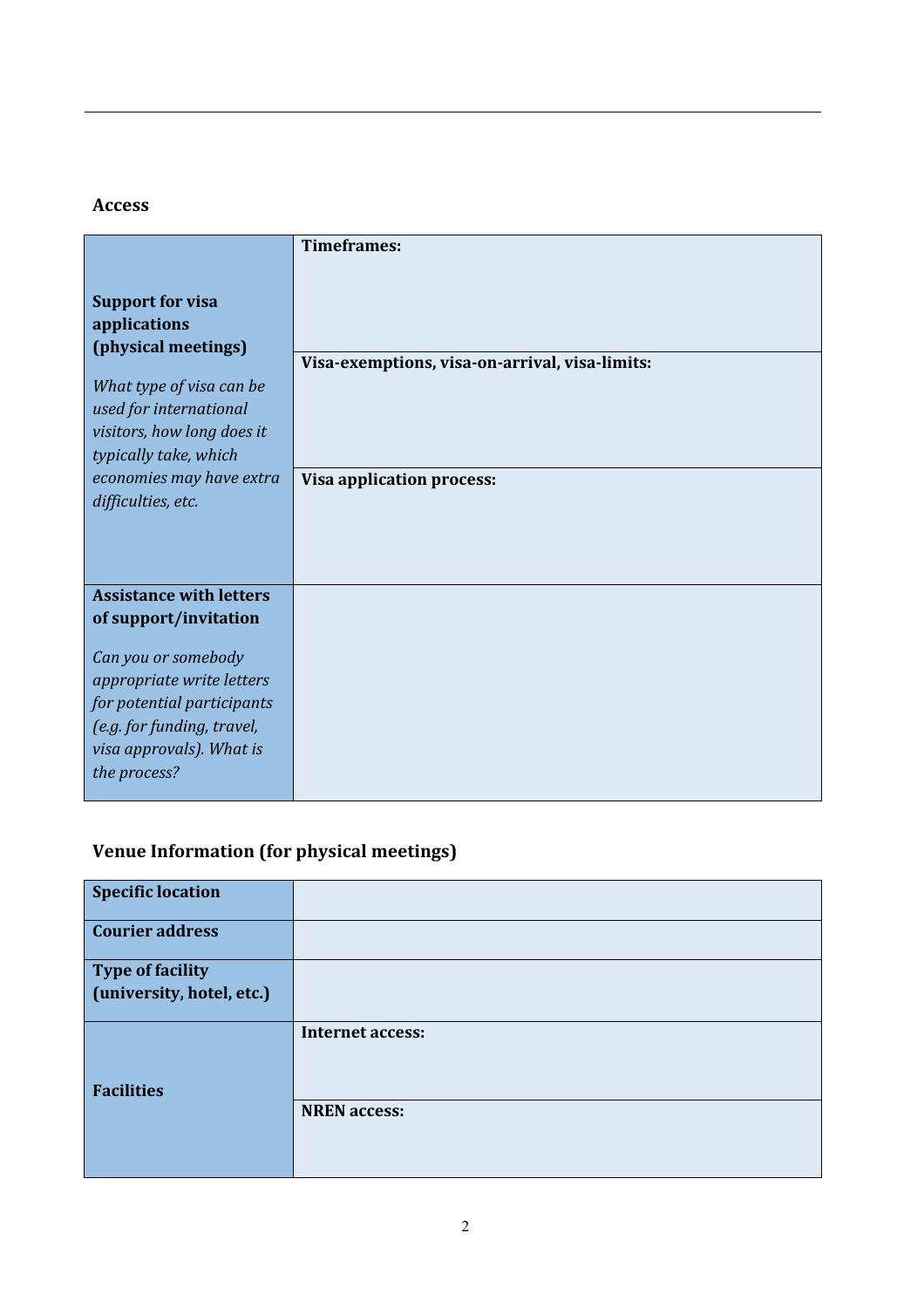#### **Access**

|                                                          | <b>Timeframes:</b>                             |
|----------------------------------------------------------|------------------------------------------------|
| <b>Support for visa</b>                                  |                                                |
| applications                                             |                                                |
| (physical meetings)                                      | Visa-exemptions, visa-on-arrival, visa-limits: |
| What type of visa can be                                 |                                                |
| used for international<br>visitors, how long does it     |                                                |
| typically take, which                                    |                                                |
| economies may have extra<br>difficulties, etc.           | <b>Visa application process:</b>               |
|                                                          |                                                |
|                                                          |                                                |
| <b>Assistance with letters</b>                           |                                                |
| of support/invitation                                    |                                                |
| Can you or somebody                                      |                                                |
| appropriate write letters                                |                                                |
| for potential participants<br>(e.g. for funding, travel, |                                                |
| visa approvals). What is                                 |                                                |
| the process?                                             |                                                |
|                                                          |                                                |

# **Venue Information (for physical meetings)**

| <b>Specific location</b>  |                         |
|---------------------------|-------------------------|
| <b>Courier address</b>    |                         |
| <b>Type of facility</b>   |                         |
| (university, hotel, etc.) |                         |
| <b>Facilities</b>         | <b>Internet access:</b> |
|                           | <b>NREN</b> access:     |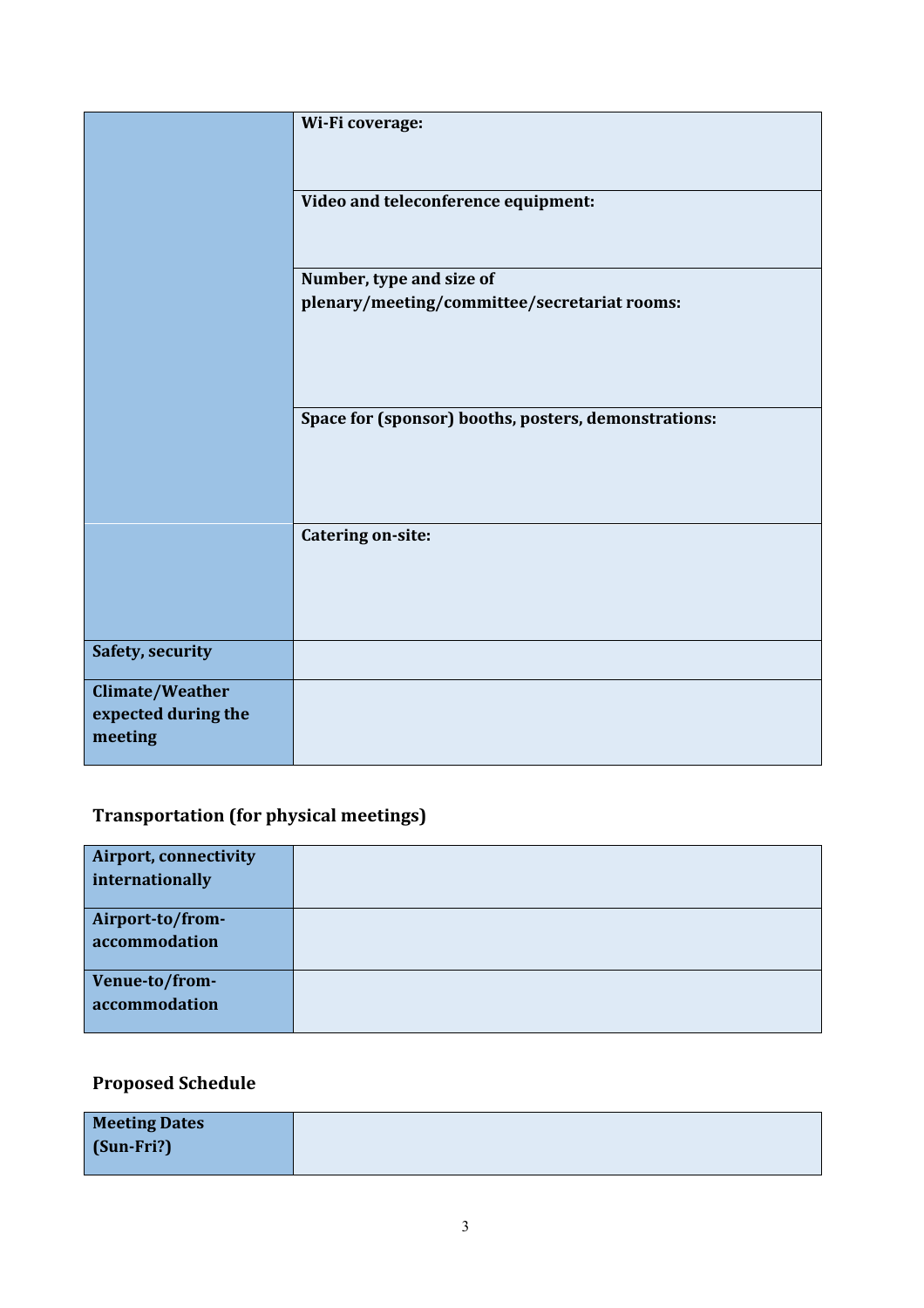|                                                   | Wi-Fi coverage:                                      |
|---------------------------------------------------|------------------------------------------------------|
|                                                   | Video and teleconference equipment:                  |
|                                                   |                                                      |
|                                                   | Number, type and size of                             |
|                                                   | plenary/meeting/committee/secretariat rooms:         |
|                                                   |                                                      |
|                                                   | Space for (sponsor) booths, posters, demonstrations: |
|                                                   | <b>Catering on-site:</b>                             |
| Safety, security                                  |                                                      |
| Climate/Weather<br>expected during the<br>meeting |                                                      |

## **Transportation (for physical meetings)**

| <b>Airport, connectivity</b> |  |
|------------------------------|--|
| internationally              |  |
|                              |  |
| Airport-to/from-             |  |
| accommodation                |  |
|                              |  |
| Venue-to/from-               |  |
| accommodation                |  |
|                              |  |

## **Proposed Schedule**

| <b>Meeting Dates</b> |  |
|----------------------|--|
| $\int$ (Sun-Fri?)    |  |
|                      |  |